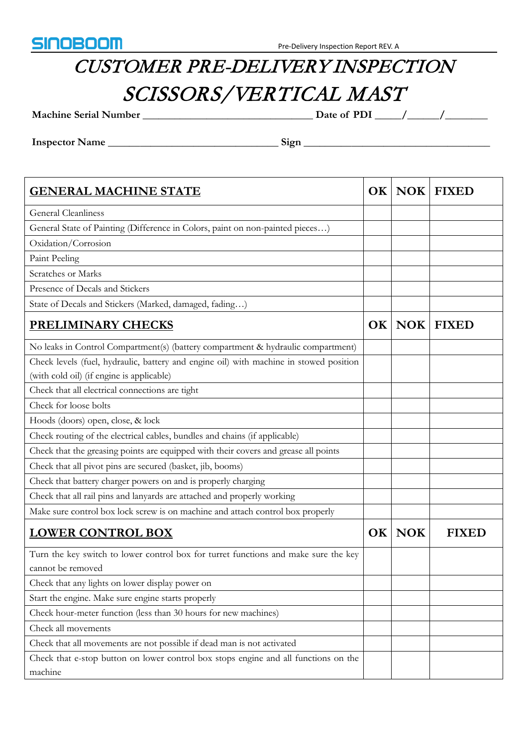

## CUSTOMER PRE-DELIVERY INSPECTION SCISSORS/VERTICAL MAST

**Machine Serial Number \_\_\_\_\_\_\_\_\_\_\_\_\_\_\_\_\_\_\_\_\_\_\_\_\_\_\_\_\_\_\_\_ Date of PDI \_\_\_\_\_/\_\_\_\_\_\_/\_\_\_\_\_\_\_\_**

**Inspector Name \_\_\_\_\_\_\_\_\_\_\_\_\_\_\_\_\_\_\_\_\_\_\_\_\_\_\_\_\_\_\_\_ Sign \_\_\_\_\_\_\_\_\_\_\_\_\_\_\_\_\_\_\_\_\_\_\_\_\_\_\_\_\_\_\_\_\_\_\_**

| <b>GENERAL MACHINE STATE</b>                                                           | OK |        | <b>NOK FIXED</b> |
|----------------------------------------------------------------------------------------|----|--------|------------------|
| <b>General Cleanliness</b>                                                             |    |        |                  |
| General State of Painting (Difference in Colors, paint on non-painted pieces)          |    |        |                  |
| Oxidation/Corrosion                                                                    |    |        |                  |
| Paint Peeling                                                                          |    |        |                  |
| Scratches or Marks                                                                     |    |        |                  |
| Presence of Decals and Stickers                                                        |    |        |                  |
| State of Decals and Stickers (Marked, damaged, fading)                                 |    |        |                  |
| <b>PRELIMINARY CHECKS</b>                                                              |    |        | OK   NOK   FIXED |
| No leaks in Control Compartment(s) (battery compartment & hydraulic compartment)       |    |        |                  |
| Check levels (fuel, hydraulic, battery and engine oil) with machine in stowed position |    |        |                  |
| (with cold oil) (if engine is applicable)                                              |    |        |                  |
| Check that all electrical connections are tight                                        |    |        |                  |
| Check for loose bolts                                                                  |    |        |                  |
| Hoods (doors) open, close, & lock                                                      |    |        |                  |
| Check routing of the electrical cables, bundles and chains (if applicable)             |    |        |                  |
| Check that the greasing points are equipped with their covers and grease all points    |    |        |                  |
| Check that all pivot pins are secured (basket, jib, booms)                             |    |        |                  |
| Check that battery charger powers on and is properly charging                          |    |        |                  |
| Check that all rail pins and lanyards are attached and properly working                |    |        |                  |
| Make sure control box lock screw is on machine and attach control box properly         |    |        |                  |
| <b>LOWER CONTROL BOX</b>                                                               |    | OK NOK | <b>FIXED</b>     |
| Turn the key switch to lower control box for turret functions and make sure the key    |    |        |                  |
| cannot be removed                                                                      |    |        |                  |
| Check that any lights on lower display power on                                        |    |        |                  |
| Start the engine. Make sure engine starts properly                                     |    |        |                  |
| Check hour-meter function (less than 30 hours for new machines)                        |    |        |                  |
| Check all movements                                                                    |    |        |                  |
| Check that all movements are not possible if dead man is not activated                 |    |        |                  |
| Check that e-stop button on lower control box stops engine and all functions on the    |    |        |                  |
| machine                                                                                |    |        |                  |